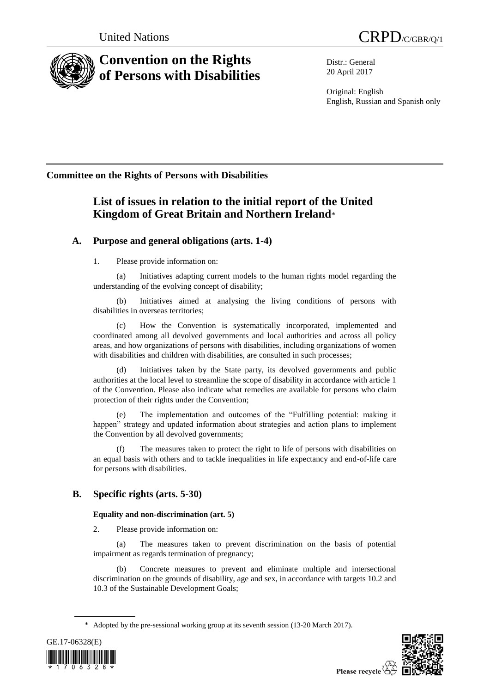



# **Convention on the Rights of Persons with Disabilities**

Distr.: General 20 April 2017

Original: English English, Russian and Spanish only

## **Committee on the Rights of Persons with Disabilities**

## **List of issues in relation to the initial report of the United Kingdom of Great Britain and Northern Ireland**\*

### **A. Purpose and general obligations (arts. 1-4)**

1. Please provide information on:

(a) Initiatives adapting current models to the human rights model regarding the understanding of the evolving concept of disability;

(b) Initiatives aimed at analysing the living conditions of persons with disabilities in overseas territories;

How the Convention is systematically incorporated, implemented and coordinated among all devolved governments and local authorities and across all policy areas, and how organizations of persons with disabilities, including organizations of women with disabilities and children with disabilities, are consulted in such processes;

(d) Initiatives taken by the State party, its devolved governments and public authorities at the local level to streamline the scope of disability in accordance with article 1 of the Convention. Please also indicate what remedies are available for persons who claim protection of their rights under the Convention;

(e) The implementation and outcomes of the "Fulfilling potential: making it happen" strategy and updated information about strategies and action plans to implement the Convention by all devolved governments;

(f) The measures taken to protect the right to life of persons with disabilities on an equal basis with others and to tackle inequalities in life expectancy and end-of-life care for persons with disabilities.

### **B. Specific rights (arts. 5-30)**

### **Equality and non-discrimination (art. 5)**

2. Please provide information on:

(a) The measures taken to prevent discrimination on the basis of potential impairment as regards termination of pregnancy;

(b) Concrete measures to prevent and eliminate multiple and intersectional discrimination on the grounds of disability, age and sex, in accordance with targets 10.2 and 10.3 of the Sustainable Development Goals;

<sup>\*</sup> Adopted by the pre-sessional working group at its seventh session (13-20 March 2017).



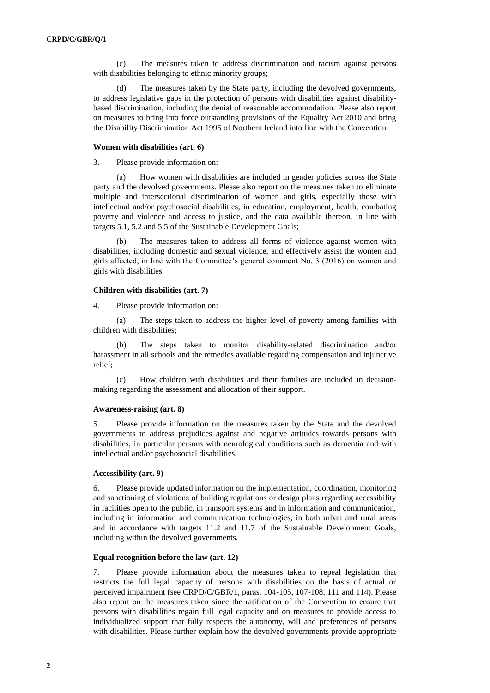(c) The measures taken to address discrimination and racism against persons with disabilities belonging to ethnic minority groups;

(d) The measures taken by the State party, including the devolved governments, to address legislative gaps in the protection of persons with disabilities against disabilitybased discrimination, including the denial of reasonable accommodation. Please also report on measures to bring into force outstanding provisions of the Equality Act 2010 and bring the Disability Discrimination Act 1995 of Northern Ireland into line with the Convention.

#### **Women with disabilities (art. 6)**

3. Please provide information on:

(a) How women with disabilities are included in gender policies across the State party and the devolved governments. Please also report on the measures taken to eliminate multiple and intersectional discrimination of women and girls, especially those with intellectual and/or psychosocial disabilities, in education, employment, health, combating poverty and violence and access to justice, and the data available thereon, in line with targets 5.1, 5.2 and 5.5 of the Sustainable Development Goals;

(b) The measures taken to address all forms of violence against women with disabilities, including domestic and sexual violence, and effectively assist the women and girls affected, in line with the Committee's general comment No. 3 (2016) on women and girls with disabilities.

#### **Children with disabilities (art. 7)**

4. Please provide information on:

(a) The steps taken to address the higher level of poverty among families with children with disabilities;

(b) The steps taken to monitor disability-related discrimination and/or harassment in all schools and the remedies available regarding compensation and injunctive relief;

(c) How children with disabilities and their families are included in decisionmaking regarding the assessment and allocation of their support.

#### **Awareness-raising (art. 8)**

5. Please provide information on the measures taken by the State and the devolved governments to address prejudices against and negative attitudes towards persons with disabilities, in particular persons with neurological conditions such as dementia and with intellectual and/or psychosocial disabilities.

#### **Accessibility (art. 9)**

6. Please provide updated information on the implementation, coordination, monitoring and sanctioning of violations of building regulations or design plans regarding accessibility in facilities open to the public, in transport systems and in information and communication, including in information and communication technologies, in both urban and rural areas and in accordance with targets 11.2 and 11.7 of the Sustainable Development Goals, including within the devolved governments.

#### **Equal recognition before the law (art. 12)**

7. Please provide information about the measures taken to repeal legislation that restricts the full legal capacity of persons with disabilities on the basis of actual or perceived impairment (see CRPD/C/GBR/1, paras. 104-105, 107-108, 111 and 114). Please also report on the measures taken since the ratification of the Convention to ensure that persons with disabilities regain full legal capacity and on measures to provide access to individualized support that fully respects the autonomy, will and preferences of persons with disabilities. Please further explain how the devolved governments provide appropriate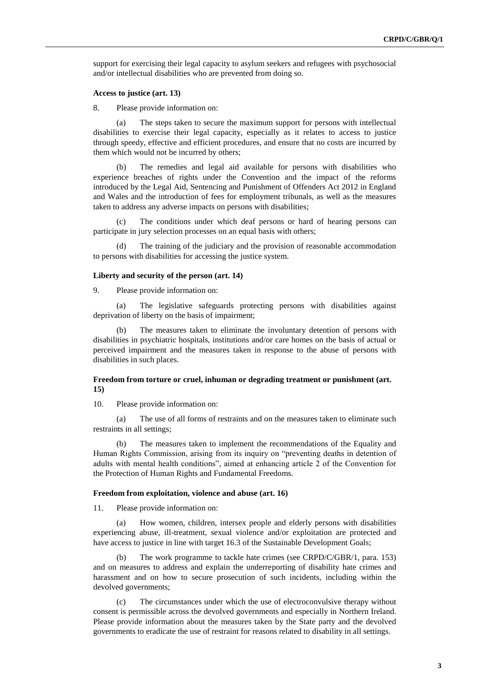support for exercising their legal capacity to asylum seekers and refugees with psychosocial and/or intellectual disabilities who are prevented from doing so.

#### **Access to justice (art. 13)**

8. Please provide information on:

(a) The steps taken to secure the maximum support for persons with intellectual disabilities to exercise their legal capacity, especially as it relates to access to justice through speedy, effective and efficient procedures, and ensure that no costs are incurred by them which would not be incurred by others;

(b) The remedies and legal aid available for persons with disabilities who experience breaches of rights under the Convention and the impact of the reforms introduced by the Legal Aid, Sentencing and Punishment of Offenders Act 2012 in England and Wales and the introduction of fees for employment tribunals, as well as the measures taken to address any adverse impacts on persons with disabilities;

The conditions under which deaf persons or hard of hearing persons can participate in jury selection processes on an equal basis with others;

(d) The training of the judiciary and the provision of reasonable accommodation to persons with disabilities for accessing the justice system.

#### **Liberty and security of the person (art. 14)**

9. Please provide information on:

(a) The legislative safeguards protecting persons with disabilities against deprivation of liberty on the basis of impairment;

The measures taken to eliminate the involuntary detention of persons with disabilities in psychiatric hospitals, institutions and/or care homes on the basis of actual or perceived impairment and the measures taken in response to the abuse of persons with disabilities in such places.

#### **Freedom from torture or cruel, inhuman or degrading treatment or punishment (art. 15)**

10. Please provide information on:

(a) The use of all forms of restraints and on the measures taken to eliminate such restraints in all settings;

(b) The measures taken to implement the recommendations of the Equality and Human Rights Commission, arising from its inquiry on "preventing deaths in detention of adults with mental health conditions", aimed at enhancing article 2 of the Convention for the Protection of Human Rights and Fundamental Freedoms.

#### **Freedom from exploitation, violence and abuse (art. 16)**

11. Please provide information on:

(a) How women, children, intersex people and elderly persons with disabilities experiencing abuse, ill-treatment, sexual violence and/or exploitation are protected and have access to justice in line with target 16.3 of the Sustainable Development Goals;

(b) The work programme to tackle hate crimes (see CRPD/C/GBR/1, para. 153) and on measures to address and explain the underreporting of disability hate crimes and harassment and on how to secure prosecution of such incidents, including within the devolved governments;

(c) The circumstances under which the use of electroconvulsive therapy without consent is permissible across the devolved governments and especially in Northern Ireland. Please provide information about the measures taken by the State party and the devolved governments to eradicate the use of restraint for reasons related to disability in all settings.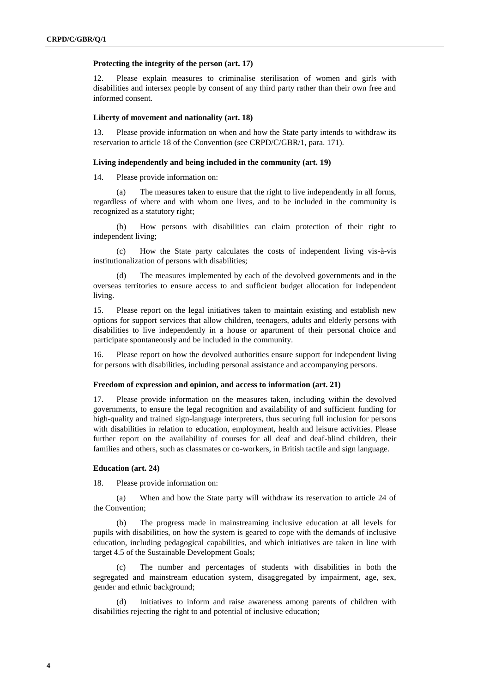#### **Protecting the integrity of the person (art. 17)**

12. Please explain measures to criminalise sterilisation of women and girls with disabilities and intersex people by consent of any third party rather than their own free and informed consent.

#### **Liberty of movement and nationality (art. 18)**

13. Please provide information on when and how the State party intends to withdraw its reservation to article 18 of the Convention (see CRPD/C/GBR/1, para. 171).

#### **Living independently and being included in the community (art. 19)**

14. Please provide information on:

(a) The measures taken to ensure that the right to live independently in all forms, regardless of where and with whom one lives, and to be included in the community is recognized as a statutory right;

(b) How persons with disabilities can claim protection of their right to independent living;

(c) How the State party calculates the costs of independent living vis-à-vis institutionalization of persons with disabilities;

(d) The measures implemented by each of the devolved governments and in the overseas territories to ensure access to and sufficient budget allocation for independent living.

15. Please report on the legal initiatives taken to maintain existing and establish new options for support services that allow children, teenagers, adults and elderly persons with disabilities to live independently in a house or apartment of their personal choice and participate spontaneously and be included in the community.

16. Please report on how the devolved authorities ensure support for independent living for persons with disabilities, including personal assistance and accompanying persons.

#### **Freedom of expression and opinion, and access to information (art. 21)**

17. Please provide information on the measures taken, including within the devolved governments, to ensure the legal recognition and availability of and sufficient funding for high-quality and trained sign-language interpreters, thus securing full inclusion for persons with disabilities in relation to education, employment, health and leisure activities. Please further report on the availability of courses for all deaf and deaf-blind children, their families and others, such as classmates or co-workers, in British tactile and sign language.

#### **Education (art. 24)**

18. Please provide information on:

(a) When and how the State party will withdraw its reservation to article 24 of the Convention;

(b) The progress made in mainstreaming inclusive education at all levels for pupils with disabilities, on how the system is geared to cope with the demands of inclusive education, including pedagogical capabilities, and which initiatives are taken in line with target 4.5 of the Sustainable Development Goals;

The number and percentages of students with disabilities in both the segregated and mainstream education system, disaggregated by impairment, age, sex, gender and ethnic background;

(d) Initiatives to inform and raise awareness among parents of children with disabilities rejecting the right to and potential of inclusive education;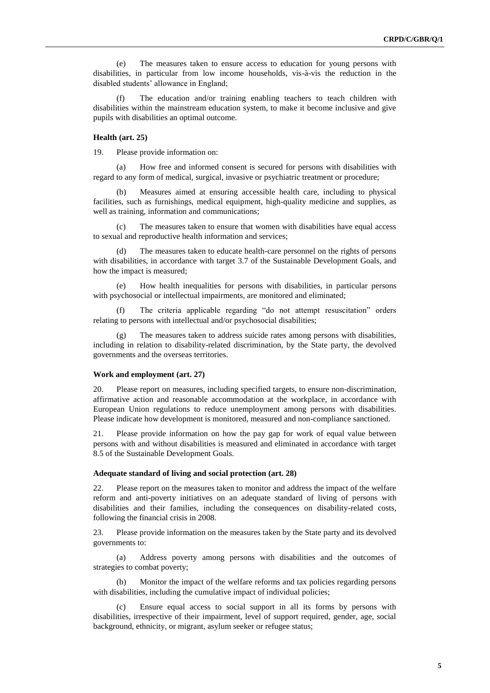(e) The measures taken to ensure access to education for young persons with disabilities, in particular from low income households, vis-à-vis the reduction in the disabled students' allowance in England;

(f) The education and/or training enabling teachers to teach children with disabilities within the mainstream education system, to make it become inclusive and give pupils with disabilities an optimal outcome.

#### **Health (art. 25)**

19. Please provide information on:

(a) How free and informed consent is secured for persons with disabilities with regard to any form of medical, surgical, invasive or psychiatric treatment or procedure;

Measures aimed at ensuring accessible health care, including to physical facilities, such as furnishings, medical equipment, high-quality medicine and supplies, as well as training, information and communications;

The measures taken to ensure that women with disabilities have equal access to sexual and reproductive health information and services;

The measures taken to educate health-care personnel on the rights of persons with disabilities, in accordance with target 3.7 of the Sustainable Development Goals, and how the impact is measured;

(e) How health inequalities for persons with disabilities, in particular persons with psychosocial or intellectual impairments, are monitored and eliminated;

The criteria applicable regarding "do not attempt resuscitation" orders relating to persons with intellectual and/or psychosocial disabilities;

The measures taken to address suicide rates among persons with disabilities, including in relation to disability-related discrimination, by the State party, the devolved governments and the overseas territories.

#### **Work and employment (art. 27)**

20. Please report on measures, including specified targets, to ensure non-discrimination, affirmative action and reasonable accommodation at the workplace, in accordance with European Union regulations to reduce unemployment among persons with disabilities. Please indicate how development is monitored, measured and non-compliance sanctioned.

21. Please provide information on how the pay gap for work of equal value between persons with and without disabilities is measured and eliminated in accordance with target 8.5 of the Sustainable Development Goals.

#### **Adequate standard of living and social protection (art. 28)**

22. Please report on the measures taken to monitor and address the impact of the welfare reform and anti-poverty initiatives on an adequate standard of living of persons with disabilities and their families, including the consequences on disability-related costs, following the financial crisis in 2008.

23. Please provide information on the measures taken by the State party and its devolved governments to:

(a) Address poverty among persons with disabilities and the outcomes of strategies to combat poverty;

(b) Monitor the impact of the welfare reforms and tax policies regarding persons with disabilities, including the cumulative impact of individual policies;

Ensure equal access to social support in all its forms by persons with disabilities, irrespective of their impairment, level of support required, gender, age, social background, ethnicity, or migrant, asylum seeker or refugee status;